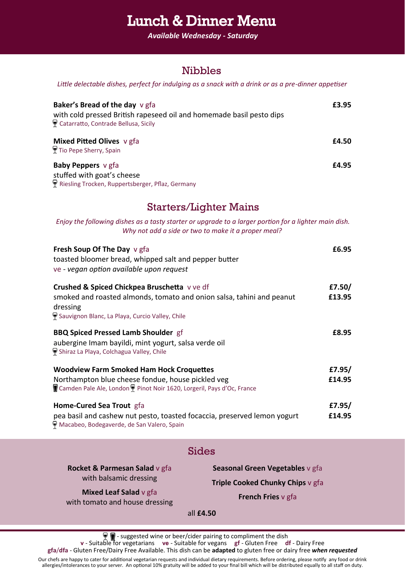## Lunch & Dinner Menu

*Available Wednesday - Saturday*

### Nibbles

*Little delectable dishes, perfect for indulging as a snack with a drink or as a pre-dinner appetiser*

| <b>Baker's Bread of the day</b> v gfa<br>with cold pressed British rapeseed oil and homemade basil pesto dips<br>Catarratto, Contrade Bellusa, Sicily | £3.95 |
|-------------------------------------------------------------------------------------------------------------------------------------------------------|-------|
| <b>Mixed Pitted Olives</b> v gfa<br>Tio Pepe Sherry, Spain                                                                                            | £4.50 |
| <b>Baby Peppers</b> v gfa<br>stuffed with goat's cheese<br>Riesling Trocken, Ruppertsberger, Pflaz, Germany                                           | £4.95 |

### Starters/Lighter Mains

*Enjoy the following dishes as a tasty starter or upgrade to a larger portion for a lighter main dish. Why not add a side or two to make it a proper meal?*

| <b>Fresh Soup Of The Day v gfa</b><br>toasted bloomer bread, whipped salt and pepper butter<br>ve - vegan option available upon request | £6.95  |
|-----------------------------------------------------------------------------------------------------------------------------------------|--------|
| Crushed & Spiced Chickpea Bruschetta v ve df                                                                                            | £7.50/ |
| smoked and roasted almonds, tomato and onion salsa, tahini and peanut<br>dressing                                                       | £13.95 |
| Sauvignon Blanc, La Playa, Curcio Valley, Chile                                                                                         |        |
| <b>BBQ Spiced Pressed Lamb Shoulder gf</b>                                                                                              | £8.95  |
| aubergine Imam bayildi, mint yogurt, salsa verde oil<br>Shiraz La Playa, Colchagua Valley, Chile                                        |        |
| <b>Woodview Farm Smoked Ham Hock Croquettes</b>                                                                                         | £7.95/ |
| Northampton blue cheese fondue, house pickled veg<br>Camden Pale Ale, London P Pinot Noir 1620, Lorgeril, Pays d'Oc, France             | £14.95 |
| Home-Cured Sea Trout gfa                                                                                                                | £7.95/ |
| pea basil and cashew nut pesto, toasted focaccia, preserved lemon yogurt<br>Macabeo, Bodegaverde, de San Valero, Spain                  | £14.95 |

#### Sides

**Rocket & Parmesan Salad** v gfa with balsamic dressing

**Mixed Leaf Salad** v gfa with tomato and house dressing

**Seasonal Green Vegetables** v gfa **Triple Cooked Chunky Chips** v gfa

**French Fries** v gfa

all **£4.50**

 $\P$  - suggested wine or beer/cider pairing to compliment the dish

**v** - Suitable for vegetarians **ve** - Suitable for vegans **gf** - Gluten Free **df** - Dairy Free

**gfa**/**dfa** - Gluten Free/Dairy Free Available. This dish can be **adapted** to gluten free or dairy free *when requested*

Our chefs are happy to cater for additional vegetarian requests and individual dietary requirements. Before ordering, please notify any food or drink allergies/intolerances to your server. An optional 10% gratuity will be added to your final bill which will be distributed equally to all staff on duty.